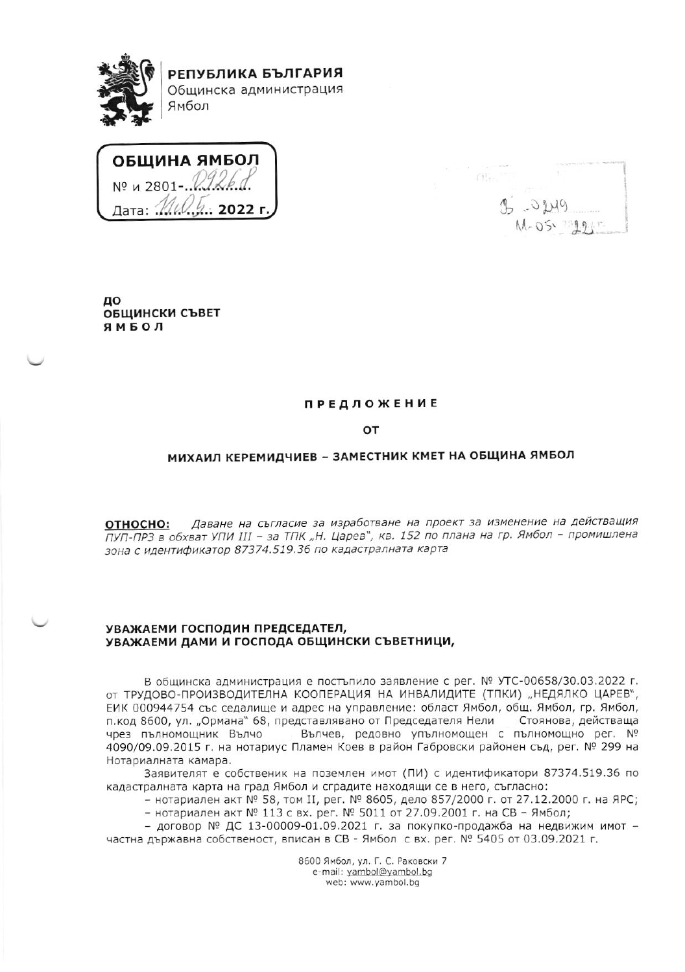

РЕПУБЛИКА БЪЛГАРИЯ Общинска администрация Ямбол

ОБЩИНА ЯМБОЛ Nº и 2801-Дата: ... ்.: 2022 г

 $(1)$  $20149$ M-05. 22945

до ОБЩИНСКИ СЪВЕТ ЯМБОЛ

### **ПРЕДЛОЖЕНИЕ**

## OT

#### МИХАИЛ КЕРЕМИДЧИЕВ - ЗАМЕСТНИК КМЕТ НА ОБЩИНА ЯМБОЛ

Даване на съгласие за изработване на проект за изменение на действащия ОТНОСНО: ПУП-ПРЗ в обхват УПИ III - за ТПК "Н. Царев", кв. 152 по плана на гр. Ямбол - промишлена зона с идентификатор 87374.519.36 по кадастралната карта

## УВАЖАЕМИ ГОСПОДИН ПРЕДСЕДАТЕЛ, УВАЖАЕМИ ДАМИ И ГОСПОДА ОБЩИНСКИ СЪВЕТНИЦИ,

В общинска администрация е постъпило заявление с рег. № УТС-00658/30.03.2022 г. ОТ ТРУДОВО-ПРОИЗВОДИТЕЛНА КООПЕРАЦИЯ НА ИНВАЛИДИТЕ (ТПКИ) "НЕДЯЛКО ЦАРЕВ", ЕИК 000944754 със седалище и адрес на управление: област Ямбол, общ. Ямбол, гр. Ямбол, п. код 8600, ул. "Ормана" 68, представлявано от Председателя Нели Стоянова, действаща Вълчев, редовно упълномощен с пълномощно рег. № чрез пълномощник Вълчо 4090/09.09.2015 г. на нотариус Пламен Коев в район Габровски районен съд, рег. № 299 на Нотариалната камара.

Заявителят е собственик на поземлен имот (ПИ) с идентификатори 87374.519.36 по кадастралната карта на град Ямбол и сградите находящи се в него, съгласно:

- нотариален акт № 58, том II, рег. № 8605, дело 857/2000 г. от 27.12.2000 г. на ЯРС; - нотариален акт № 113 с вх. рег. № 5011 от 27.09.2001 г. на СВ - Ямбол;

- договор № ДС 13-00009-01.09.2021 г. за покупко-продажба на недвижим имот частна държавна собственост, вписан в СВ - Ямбол с вх. рег. № 5405 от 03.09.2021 г.

> 8600 Ямбол, ул. Г. С. Раковски 7 e-mail: yambol@yambol.bg web: www.yambol.bg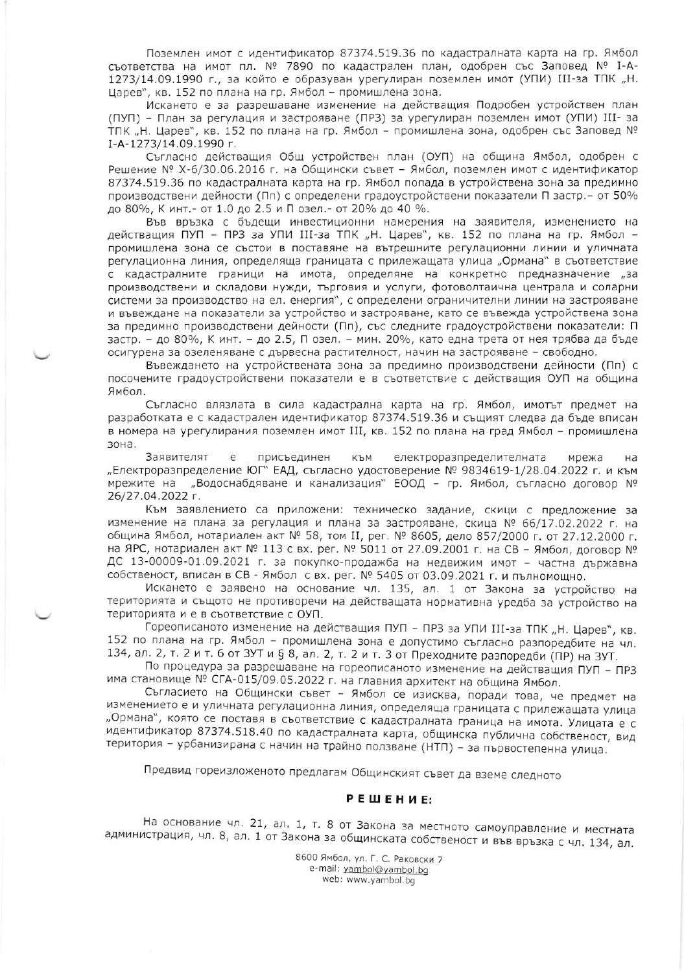Поземлен имот с идентификатор 87374.519.36 по кадастралната карта на гр. Ямбол съответства на имот пл. № 7890 по кадастрален план, одобрен със Заповед № I-А-1273/14.09.1990 г., за който е образуван урегулиран поземлен имот (УПИ) III-за ТПК "Н. Царев", кв. 152 по плана на гр. Ямбол - промишлена зона.

Искането е за разрешаване изменение на действащия Подробен устройствен план (ПУП) - План за регулация и застрояване (ПРЗ) за урегулиран поземлен имот (УПИ) III- за ТПК "Н. Царев", кв. 152 по плана на гр. Ямбол - промишлена зона, одобрен със Заповед № I-A-1273/14.09.1990 г.

Съгласно действащия Общ устройствен план (ОУП) на община Ямбол, одобрен с Решение № Х-6/30.06.2016 г. на Общински съвет - Ямбол, поземлен имот с идентификатор 87374.519.36 по кадастралната карта на гр. Ямбол попада в устройствена зона за предимно производствени дейности (Пп) с определени градоустройствени показатели П застр. - от 50% до 80%, К инт.- от 1.0 до 2.5 и П озел.- от 20% до 40 %.

Във връзка с бъдещи инвестиционни намерения на заявителя, изменението на действащия ПУП - ПРЗ за УПИ III-за ТПК "Н. Царев", кв. 152 по плана на гр. Ямбол промишлена зона се състои в поставяне на вътрешните регулационни линии и уличната регулационна линия, определяща границата с прилежащата улица "Ормана" в съответствие с кадастралните граници на имота, определяне на конкретно предназначение "за производствени и складови нужди, търговия и услуги, фотоволтаична централа и соларни системи за производство на ел. енергия", с определени ограничителни линии на застрояване и въвеждане на показатели за устройство и застрояване, като се въвежда устройствена зона за предимно производствени дейности (Пп), със следните градоустройствени показатели: П застр. - до 80%, К инт. - до 2.5, П озел. - мин. 20%, като една трета от нея трябва да бъде осигурена за озеленяване с дървесна растителност, начин на застрояване - свободно.

Въвеждането на устройствената зона за предимно производствени дейности (Пп) с посочените градоустройствени показатели е в съответствие с действащия ОУП на община Ямбол.

Съгласно влязлата в сила кадастрална карта на гр. Ямбол, имотът предмет на разработката е с кадастрален идентификатор 87374.519.36 и същият следва да бъде вписан в номера на урегулирания поземлен имот III, кв. 152 по плана на град Ямбол - промишлена зона.

Заявителят електроразпределителната e присъединен КЪМ мрежа на "Електроразпределение ЮГ" ЕАД, съгласно удостоверение № 9834619-1/28.04.2022 г. и към мрежите на "Водоснабдяване и канализация" ЕООД - гр. Ямбол, съгласно договор № 26/27.04.2022 г.

Към заявлението са приложени: техническо задание, скици с предложение за изменение на плана за регулация и плана за застрояване, скица № 66/17.02.2022 г. на община Ямбол, нотариален акт № 58, том II, рег. № 8605, дело 857/2000 г. от 27.12.2000 г. на ЯРС, нотариален акт № 113 с вх. рег. № 5011 от 27.09.2001 г. на СВ - Ямбол, договор № ДС 13-00009-01.09.2021 г. за покупко-продажба на недвижим имот - частна държавна собственост, вписан в СВ - Ямбол с вх. рег. № 5405 от 03.09.2021 г. и пълномощно.

Искането е заявено на основание чл. 135, ал. 1 от Закона за устройство на територията и същото не противоречи на действащата нормативна уредба за устройство на територията и е в съответствие с ОУП.

Гореописаното изменение на действащия ПУП - ПРЗ за УПИ III-за ТПК "Н. Царев", кв. 152 по плана на гр. Ямбол - промишлена зона е допустимо съгласно разпоредбите на чл. 134, ал. 2, т. 2 и т. 6 от ЗУТ и § 8, ал. 2, т. 2 и т. 3 от Преходните разпоредби (ПР) на ЗУТ.

По процедура за разрешаване на гореописаното изменение на действащия ПУП - ПРЗ има становище № СГА-015/09.05.2022 г. на главния архитект на община Ямбол.

Съгласието на Общински съвет - Ямбол се изисква, поради това, че предмет на изменението е и уличната регулационна линия, определяща границата с прилежащата улица "Ормана", която се поставя в съответствие с кадастралната граница на имота. Улицата е с идентификатор 87374.518.40 по кадастралната карта, общинска публична собственост, вид територия - урбанизирана с начин на трайно ползване (НТП) - за първостепенна улица.

Предвид гореизложеното предлагам Общинският съвет да вземе следното

# РЕШЕНИЕ:

На основание чл. 21, ал. 1, т. 8 от Закона за местното самоуправление и местната администрация, чл. 8, ал. 1 от Закона за общинската собственост и във връзка с чл. 134, ал.

8600 Ямбол, ул. Г. С. Раковски 7 e-mail: yambol@yambol.bq web: www.yambol.bg